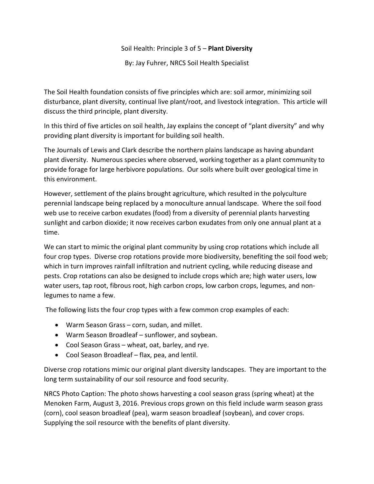## Soil Health: Principle 3 of 5 – **Plant Diversity**

By: Jay Fuhrer, NRCS Soil Health Specialist

The Soil Health foundation consists of five principles which are: soil armor, minimizing soil disturbance, plant diversity, continual live plant/root, and livestock integration. This article will discuss the third principle, plant diversity.

In this third of five articles on soil health, Jay explains the concept of "plant diversity" and why providing plant diversity is important for building soil health.

The Journals of Lewis and Clark describe the northern plains landscape as having abundant plant diversity. Numerous species where observed, working together as a plant community to provide forage for large herbivore populations. Our soils where built over geological time in this environment.

However, settlement of the plains brought agriculture, which resulted in the polyculture perennial landscape being replaced by a monoculture annual landscape. Where the soil food web use to receive carbon exudates (food) from a diversity of perennial plants harvesting sunlight and carbon dioxide; it now receives carbon exudates from only one annual plant at a time.

We can start to mimic the original plant community by using crop rotations which include all four crop types. Diverse crop rotations provide more biodiversity, benefiting the soil food web; which in turn improves rainfall infiltration and nutrient cycling, while reducing disease and pests. Crop rotations can also be designed to include crops which are; high water users, low water users, tap root, fibrous root, high carbon crops, low carbon crops, legumes, and nonlegumes to name a few.

The following lists the four crop types with a few common crop examples of each:

- Warm Season Grass corn, sudan, and millet.
- Warm Season Broadleaf sunflower, and soybean.
- Cool Season Grass wheat, oat, barley, and rye.
- Cool Season Broadleaf flax, pea, and lentil.

Diverse crop rotations mimic our original plant diversity landscapes. They are important to the long term sustainability of our soil resource and food security.

NRCS Photo Caption: The photo shows harvesting a cool season grass (spring wheat) at the Menoken Farm, August 3, 2016. Previous crops grown on this field include warm season grass (corn), cool season broadleaf (pea), warm season broadleaf (soybean), and cover crops. Supplying the soil resource with the benefits of plant diversity.